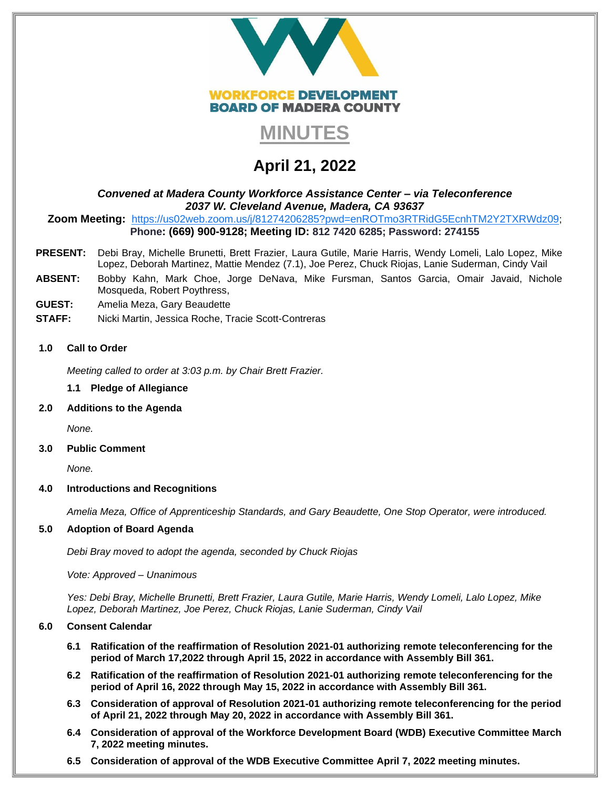



# **April 21, 2022**

# *Convened at Madera County Workforce Assistance Center – via Teleconference 2037 W. Cleveland Avenue, Madera, CA 93637*

**Zoom Meeting:** <https://us02web.zoom.us/j/81274206285?pwd=enROTmo3RTRidG5EcnhTM2Y2TXRWdz09>; **Phone: (669) 900-9128; Meeting ID: 812 7420 6285; Password: 274155**

- **PRESENT:** Debi Bray, Michelle Brunetti, Brett Frazier, Laura Gutile, Marie Harris, Wendy Lomeli, Lalo Lopez, Mike Lopez, Deborah Martinez, Mattie Mendez (7.1), Joe Perez, Chuck Riojas, Lanie Suderman, Cindy Vail
- **ABSENT:** Bobby Kahn, Mark Choe, Jorge DeNava, Mike Fursman, Santos Garcia, Omair Javaid, Nichole Mosqueda, Robert Poythress,
- **GUEST:** Amelia Meza, Gary Beaudette
- **STAFF:** Nicki Martin, Jessica Roche, Tracie Scott-Contreras

# **1.0 Call to Order**

*Meeting called to order at 3:03 p.m. by Chair Brett Frazier.* 

# **1.1 Pledge of Allegiance**

# **2.0 Additions to the Agenda**

*None.* 

# **3.0 Public Comment**

*None.* 

# **4.0 Introductions and Recognitions**

*Amelia Meza, Office of Apprenticeship Standards, and Gary Beaudette, One Stop Operator, were introduced.* 

# **5.0 Adoption of Board Agenda**

*Debi Bray moved to adopt the agenda, seconded by Chuck Riojas*

*Vote: Approved – Unanimous*

*Yes: Debi Bray, Michelle Brunetti, Brett Frazier, Laura Gutile, Marie Harris, Wendy Lomeli, Lalo Lopez, Mike Lopez, Deborah Martinez, Joe Perez, Chuck Riojas, Lanie Suderman, Cindy Vail*

# **6.0 Consent Calendar**

- **6.1 Ratification of the reaffirmation of Resolution 2021-01 authorizing remote teleconferencing for the period of March 17,2022 through April 15, 2022 in accordance with Assembly Bill 361.**
- **6.2 Ratification of the reaffirmation of Resolution 2021-01 authorizing remote teleconferencing for the period of April 16, 2022 through May 15, 2022 in accordance with Assembly Bill 361.**
- **6.3 Consideration of approval of Resolution 2021-01 authorizing remote teleconferencing for the period of April 21, 2022 through May 20, 2022 in accordance with Assembly Bill 361.**
- **6.4 Consideration of approval of the Workforce Development Board (WDB) Executive Committee March 7, 2022 meeting minutes.**
- **6.5 Consideration of approval of the WDB Executive Committee April 7, 2022 meeting minutes.**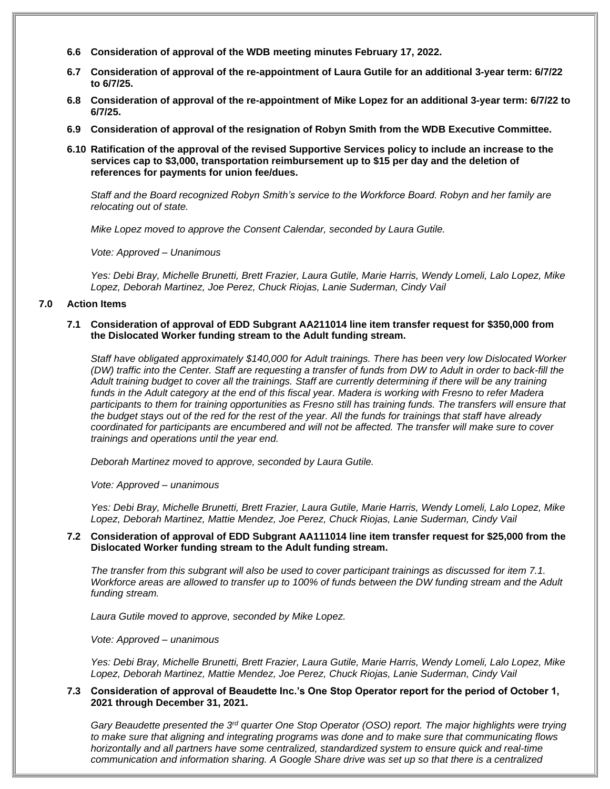- **6.6 Consideration of approval of the WDB meeting minutes February 17, 2022.**
- **6.7 Consideration of approval of the re-appointment of Laura Gutile for an additional 3-year term: 6/7/22 to 6/7/25.**
- **6.8 Consideration of approval of the re-appointment of Mike Lopez for an additional 3-year term: 6/7/22 to 6/7/25.**
- **6.9 Consideration of approval of the resignation of Robyn Smith from the WDB Executive Committee.**
- **6.10 Ratification of the approval of the revised Supportive Services policy to include an increase to the services cap to \$3,000, transportation reimbursement up to \$15 per day and the deletion of references for payments for union fee/dues.**

*Staff and the Board recognized Robyn Smith's service to the Workforce Board. Robyn and her family are relocating out of state.* 

*Mike Lopez moved to approve the Consent Calendar, seconded by Laura Gutile.* 

*Vote: Approved – Unanimous*

*Yes: Debi Bray, Michelle Brunetti, Brett Frazier, Laura Gutile, Marie Harris, Wendy Lomeli, Lalo Lopez, Mike Lopez, Deborah Martinez, Joe Perez, Chuck Riojas, Lanie Suderman, Cindy Vail*

# **7.0 Action Items**

#### **7.1 Consideration of approval of EDD Subgrant AA211014 line item transfer request for \$350,000 from the Dislocated Worker funding stream to the Adult funding stream.**

*Staff have obligated approximately \$140,000 for Adult trainings. There has been very low Dislocated Worker (DW) traffic into the Center. Staff are requesting a transfer of funds from DW to Adult in order to back-fill the Adult training budget to cover all the trainings. Staff are currently determining if there will be any training funds in the Adult category at the end of this fiscal year. Madera is working with Fresno to refer Madera*  participants to them for training opportunities as Fresno still has training funds. The transfers will ensure that *the budget stays out of the red for the rest of the year. All the funds for trainings that staff have already coordinated for participants are encumbered and will not be affected. The transfer will make sure to cover trainings and operations until the year end.* 

*Deborah Martinez moved to approve, seconded by Laura Gutile.* 

*Vote: Approved – unanimous*

*Yes: Debi Bray, Michelle Brunetti, Brett Frazier, Laura Gutile, Marie Harris, Wendy Lomeli, Lalo Lopez, Mike Lopez, Deborah Martinez, Mattie Mendez, Joe Perez, Chuck Riojas, Lanie Suderman, Cindy Vail*

# **7.2 Consideration of approval of EDD Subgrant AA111014 line item transfer request for \$25,000 from the Dislocated Worker funding stream to the Adult funding stream.**

*The transfer from this subgrant will also be used to cover participant trainings as discussed for item 7.1. Workforce areas are allowed to transfer up to 100% of funds between the DW funding stream and the Adult funding stream.* 

*Laura Gutile moved to approve, seconded by Mike Lopez.* 

*Vote: Approved – unanimous*

*Yes: Debi Bray, Michelle Brunetti, Brett Frazier, Laura Gutile, Marie Harris, Wendy Lomeli, Lalo Lopez, Mike Lopez, Deborah Martinez, Mattie Mendez, Joe Perez, Chuck Riojas, Lanie Suderman, Cindy Vail*

# **7.3 Consideration of approval of Beaudette Inc.'s One Stop Operator report for the period of October 1, 2021 through December 31, 2021.**

*Gary Beaudette presented the 3rd quarter One Stop Operator (OSO) report. The major highlights were trying to make sure that aligning and integrating programs was done and to make sure that communicating flows horizontally and all partners have some centralized, standardized system to ensure quick and real-time communication and information sharing. A Google Share drive was set up so that there is a centralized*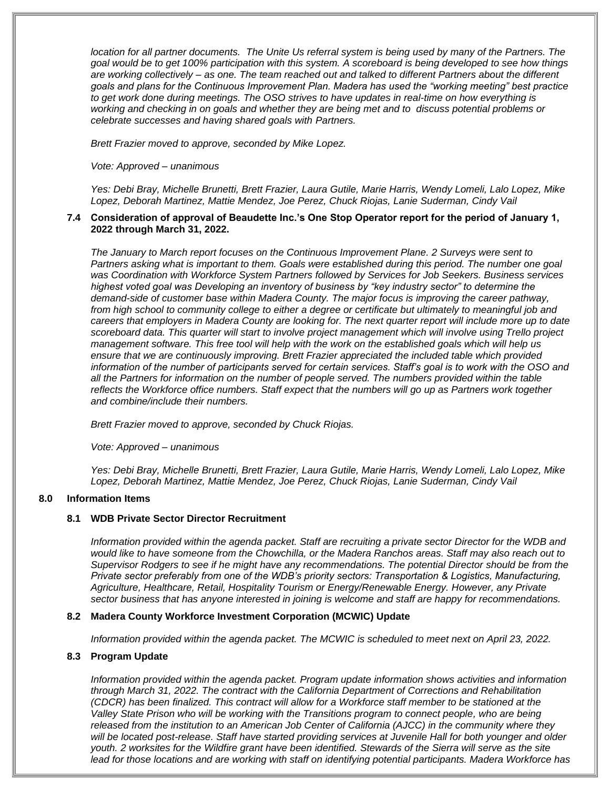*location for all partner documents. The Unite Us referral system is being used by many of the Partners. The goal would be to get 100% participation with this system. A scoreboard is being developed to see how things are working collectively – as one. The team reached out and talked to different Partners about the different goals and plans for the Continuous Improvement Plan. Madera has used the "working meeting" best practice to get work done during meetings. The OSO strives to have updates in real-time on how everything is working and checking in on goals and whether they are being met and to discuss potential problems or celebrate successes and having shared goals with Partners.* 

*Brett Frazier moved to approve, seconded by Mike Lopez.* 

#### *Vote: Approved – unanimous*

*Yes: Debi Bray, Michelle Brunetti, Brett Frazier, Laura Gutile, Marie Harris, Wendy Lomeli, Lalo Lopez, Mike Lopez, Deborah Martinez, Mattie Mendez, Joe Perez, Chuck Riojas, Lanie Suderman, Cindy Vail*

### **7.4 Consideration of approval of Beaudette Inc.'s One Stop Operator report for the period of January 1, 2022 through March 31, 2022.**

*The January to March report focuses on the Continuous Improvement Plane. 2 Surveys were sent to Partners asking what is important to them. Goals were established during this period. The number one goal was Coordination with Workforce System Partners followed by Services for Job Seekers. Business services highest voted goal was Developing an inventory of business by "key industry sector" to determine the demand-side of customer base within Madera County. The major focus is improving the career pathway, from high school to community college to either a degree or certificate but ultimately to meaningful job and careers that employers in Madera County are looking for. The next quarter report will include more up to date scoreboard data. This quarter will start to involve project management which will involve using Trello project management software. This free tool will help with the work on the established goals which will help us ensure that we are continuously improving. Brett Frazier appreciated the included table which provided information of the number of participants served for certain services. Staff's goal is to work with the OSO and all the Partners for information on the number of people served. The numbers provided within the table reflects the Workforce office numbers. Staff expect that the numbers will go up as Partners work together and combine/include their numbers.* 

*Brett Frazier moved to approve, seconded by Chuck Riojas.* 

*Vote: Approved – unanimous*

*Yes: Debi Bray, Michelle Brunetti, Brett Frazier, Laura Gutile, Marie Harris, Wendy Lomeli, Lalo Lopez, Mike Lopez, Deborah Martinez, Mattie Mendez, Joe Perez, Chuck Riojas, Lanie Suderman, Cindy Vail*

# **8.0 Information Items**

# **8.1 WDB Private Sector Director Recruitment**

*Information provided within the agenda packet. Staff are recruiting a private sector Director for the WDB and would like to have someone from the Chowchilla, or the Madera Ranchos areas. Staff may also reach out to Supervisor Rodgers to see if he might have any recommendations. The potential Director should be from the Private sector preferably from one of the WDB's priority sectors: Transportation & Logistics, Manufacturing, Agriculture, Healthcare, Retail, Hospitality Tourism or Energy/Renewable Energy. However, any Private sector business that has anyone interested in joining is welcome and staff are happy for recommendations.* 

# **8.2 Madera County Workforce Investment Corporation (MCWIC) Update**

*Information provided within the agenda packet. The MCWIC is scheduled to meet next on April 23, 2022.* 

# **8.3 Program Update**

*Information provided within the agenda packet. Program update information shows activities and information through March 31, 2022. The contract with the California Department of Corrections and Rehabilitation (CDCR) has been finalized. This contract will allow for a Workforce staff member to be stationed at the Valley State Prison who will be working with the Transitions program to connect people, who are being released from the institution to an American Job Center of California (AJCC) in the community where they will be located post-release. Staff have started providing services at Juvenile Hall for both younger and older youth. 2 worksites for the Wildfire grant have been identified. Stewards of the Sierra will serve as the site lead for those locations and are working with staff on identifying potential participants. Madera Workforce has*